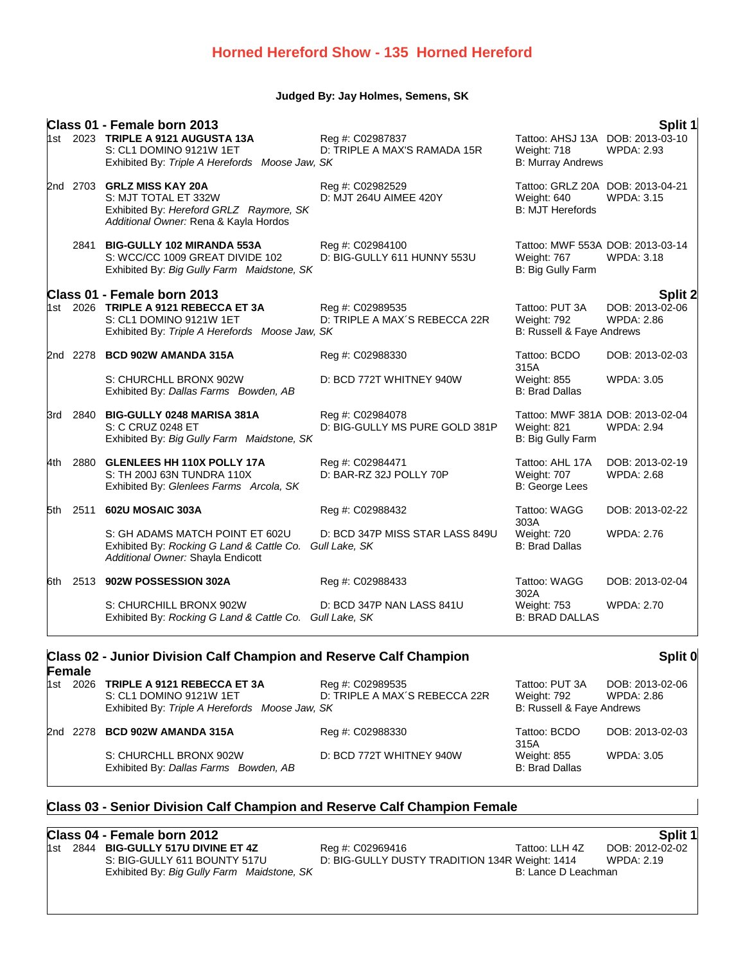## **Judged By: Jay Holmes, Semens, SK**

|      |      | Class 01 - Female born 2013                                                                                                            |                                                    |                                                                             | Split 1                              |
|------|------|----------------------------------------------------------------------------------------------------------------------------------------|----------------------------------------------------|-----------------------------------------------------------------------------|--------------------------------------|
|      |      | 1st 2023 TRIPLE A 9121 AUGUSTA 13A<br>S: CL1 DOMINO 9121W 1ET<br>Exhibited By: Triple A Herefords Moose Jaw, SK                        | Reg #: C02987837<br>D: TRIPLE A MAX'S RAMADA 15R   | Tattoo: AHSJ 13A DOB: 2013-03-10<br>Weight: 718<br><b>B: Murray Andrews</b> | <b>WPDA: 2.93</b>                    |
|      |      | 2nd 2703 GRLZ MISS KAY 20A<br>S: MJT TOTAL ET 332W<br>Exhibited By: Hereford GRLZ Raymore, SK<br>Additional Owner: Rena & Kayla Hordos | Reg #: C02982529<br>D: MJT 264U AIMEE 420Y         | Tattoo: GRLZ 20A DOB: 2013-04-21<br>Weight: 640<br><b>B: MJT Herefords</b>  | <b>WPDA: 3.15</b>                    |
|      |      | 2841 BIG-GULLY 102 MIRANDA 553A<br>S: WCC/CC 1009 GREAT DIVIDE 102<br>Exhibited By: Big Gully Farm Maidstone, SK                       | Reg #: C02984100<br>D: BIG-GULLY 611 HUNNY 553U    | Tattoo: MWF 553A DOB: 2013-03-14<br>Weight: 767<br>B: Big Gully Farm        | <b>WPDA: 3.18</b>                    |
|      |      | Class 01 - Female born 2013                                                                                                            |                                                    |                                                                             | <b>Split 2</b>                       |
|      |      | 1st 2026 TRIPLE A 9121 REBECCA ET 3A<br>S: CL1 DOMINO 9121W 1ET<br>Exhibited By: Triple A Herefords Moose Jaw, SK                      | Reg #: C02989535<br>D: TRIPLE A MAX'S REBECCA 22R  | Tattoo: PUT 3A<br>Weight: 792<br>B: Russell & Faye Andrews                  | DOB: 2013-02-06<br><b>WPDA: 2.86</b> |
|      |      | 2nd 2278 BCD 902W AMANDA 315A                                                                                                          | Reg #: C02988330                                   | Tattoo: BCDO<br>315A                                                        | DOB: 2013-02-03                      |
|      |      | S: CHURCHLL BRONX 902W<br>Exhibited By: Dallas Farms Bowden, AB                                                                        | D: BCD 772T WHITNEY 940W                           | Weight: 855<br><b>B: Brad Dallas</b>                                        | <b>WPDA: 3.05</b>                    |
| 3rd  |      | 2840 BIG-GULLY 0248 MARISA 381A<br>S: C CRUZ 0248 ET<br>Exhibited By: Big Gully Farm Maidstone, SK                                     | Reg #: C02984078<br>D: BIG-GULLY MS PURE GOLD 381P | Tattoo: MWF 381A DOB: 2013-02-04<br>Weight: 821<br>B: Big Gully Farm        | <b>WPDA: 2.94</b>                    |
| 4th  |      | 2880 GLENLEES HH 110X POLLY 17A<br>S: TH 200J 63N TUNDRA 110X<br>Exhibited By: Glenlees Farms Arcola, SK                               | Reg #: C02984471<br>D: BAR-RZ 32J POLLY 70P        | Tattoo: AHL 17A<br>Weight: 707<br>B: George Lees                            | DOB: 2013-02-19<br><b>WPDA: 2.68</b> |
| 5th. | 2511 | 602U MOSAIC 303A                                                                                                                       | Reg #: C02988432                                   | Tattoo: WAGG<br>303A                                                        | DOB: 2013-02-22                      |
|      |      | S: GH ADAMS MATCH POINT ET 602U<br>Exhibited By: Rocking G Land & Cattle Co.<br>Additional Owner: Shayla Endicott                      | D: BCD 347P MISS STAR LASS 849U<br>Gull Lake, SK   | Weight: 720<br><b>B: Brad Dallas</b>                                        | <b>WPDA: 2.76</b>                    |
| 6th  |      | 2513 902W POSSESSION 302A                                                                                                              | Reg #: C02988433                                   | Tattoo: WAGG<br>302A                                                        | DOB: 2013-02-04                      |
|      |      | S: CHURCHILL BRONX 902W<br>Exhibited By: Rocking G Land & Cattle Co. Gull Lake, SK                                                     | D: BCD 347P NAN LASS 841U                          | Weight: 753<br><b>B: BRAD DALLAS</b>                                        | <b>WPDA: 2.70</b>                    |

### **Class 02 - Junior Division Calf Champion and Reserve Calf Champion Female Split 0** 1st 2026 **TRIPLE A 9121 REBECCA ET 3A** Reg #: C02989535 Tattoo: PUT 3A DOB: 2013-02-06 S: CL1 DOMINO 9121W 1ET D: TRIPLE A MAX´S REBECCA 22R Weight: 792 WPDA: 2.86 Exhibited By: Triple A Herefords Moose Jaw, SK **B: Russell & Faye Andrews** B: Russell & Faye Andrews 2nd 2278 **BCD 902W AMANDA 315A** Reg #: C02988330 Tattoo: BCDO 315A<br>Weight: 855 DOB: 2013-02-03 S: CHURCHLL BRONX 902W D: BCD 772T WHITNEY 940W Weight: 855 WPDA: 3.05 Exhibited By: *Dallas Farms Bowden, AB* B: Brad Dallas B: Brad Dallas

## **Class 03 - Senior Division Calf Champion and Reserve Calf Champion Female**

# **Class 04 - Female born 2012 Split 1**

| 1st | -2844 | <b>BIG-GU</b> |
|-----|-------|---------------|
|     |       | $S: BIG-C$    |
|     |       | Exhibite      |

1st 2844 **BIG-GULLY 517U DIVINE ET 4Z** Reg #: C02969416 Tattoo: LLH 4Z DOB: 2012-02-02 S: BIG-GULLY 611 BOUNTY 517U D: BIG-GULLY DUSTY TRADITION 134R Weight: 1414 WPDA: 2.19 ed By: *Big Gully Farm Maidstone, SK*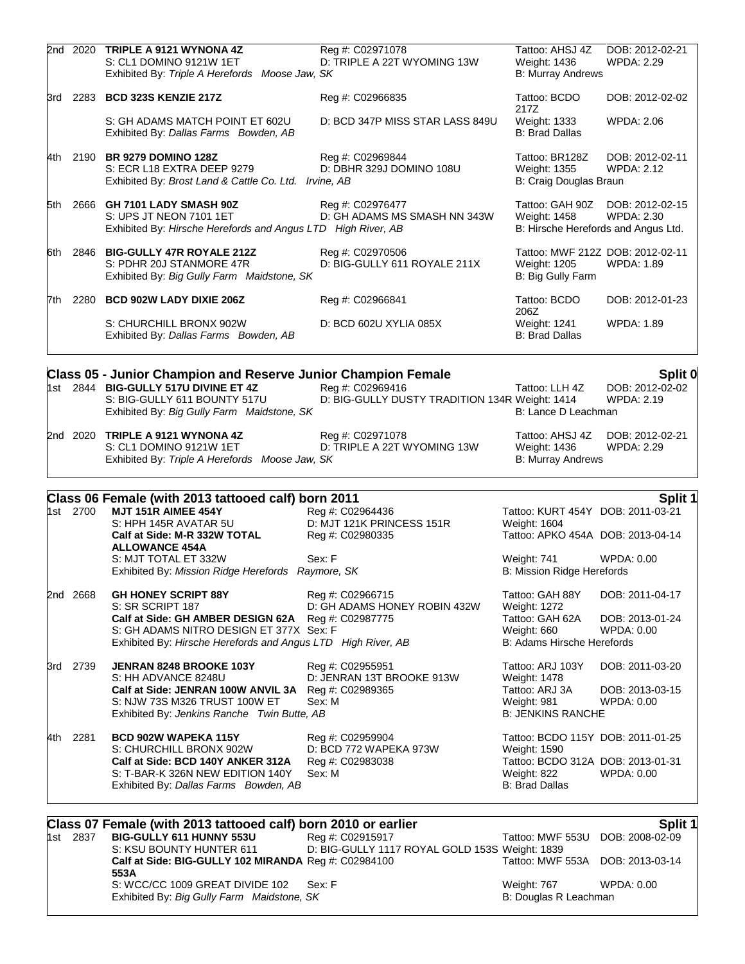|     |          | 2nd 2020 TRIPLE A 9121 WYNONA 4Z<br>S: CL1 DOMINO 9121W 1ET<br>Exhibited By: Triple A Herefords Moose Jaw, SK                                                                       | Reg #: C02971078<br>D: TRIPLE A 22T WYOMING 13W                    | Tattoo: AHSJ 4Z<br>Weight: 1436<br><b>B: Murray Andrews</b>                               | DOB: 2012-02-21<br><b>WPDA: 2.29</b>                  |
|-----|----------|-------------------------------------------------------------------------------------------------------------------------------------------------------------------------------------|--------------------------------------------------------------------|-------------------------------------------------------------------------------------------|-------------------------------------------------------|
|     |          |                                                                                                                                                                                     |                                                                    |                                                                                           |                                                       |
|     |          | 3rd 2283 BCD 323S KENZIE 217Z                                                                                                                                                       | Reg #: C02966835                                                   | Tattoo: BCDO<br>217Z                                                                      | DOB: 2012-02-02                                       |
|     |          | S: GH ADAMS MATCH POINT ET 602U<br>Exhibited By: Dallas Farms Bowden, AB                                                                                                            | D: BCD 347P MISS STAR LASS 849U                                    | Weight: 1333<br><b>B: Brad Dallas</b>                                                     | <b>WPDA: 2.06</b>                                     |
|     |          | 4th 2190 BR 9279 DOMINO 128Z<br>S: ECR L18 EXTRA DEEP 9279<br>Exhibited By: Brost Land & Cattle Co. Ltd. Irvine, AB                                                                 | Reg #: C02969844<br>D: DBHR 329J DOMINO 108U                       | Tattoo: BR128Z<br>Weight: 1355<br>B: Craig Douglas Braun                                  | DOB: 2012-02-11<br><b>WPDA: 2.12</b>                  |
| 5th |          | 2666 GH 7101 LADY SMASH 90Z<br>S: UPS JT NEON 7101 1ET<br>Exhibited By: Hirsche Herefords and Angus LTD High River, AB                                                              | Reg #: C02976477<br>D: GH ADAMS MS SMASH NN 343W                   | Tattoo: GAH 90Z<br>Weight: 1458<br>B: Hirsche Herefords and Angus Ltd.                    | DOB: 2012-02-15<br><b>WPDA: 2.30</b>                  |
|     |          | 6th 2846 BIG-GULLY 47R ROYALE 212Z<br>S: PDHR 20J STANMORE 47R<br>Exhibited By: Big Gully Farm Maidstone, SK                                                                        | Reg #: C02970506<br>D: BIG-GULLY 611 ROYALE 211X                   | Weight: 1205<br>B: Big Gully Farm                                                         | Tattoo: MWF 212Z DOB: 2012-02-11<br><b>WPDA: 1.89</b> |
|     |          | 7th 2280 BCD 902W LADY DIXIE 206Z                                                                                                                                                   | Reg #: C02966841                                                   | Tattoo: BCDO                                                                              | DOB: 2012-01-23                                       |
|     |          | S: CHURCHILL BRONX 902W<br>Exhibited By: Dallas Farms Bowden, AB                                                                                                                    | D: BCD 602U XYLIA 085X                                             | 206Z<br>Weight: 1241<br><b>B: Brad Dallas</b>                                             | <b>WPDA: 1.89</b>                                     |
|     |          |                                                                                                                                                                                     |                                                                    |                                                                                           |                                                       |
|     |          | Class 05 - Junior Champion and Reserve Junior Champion Female<br>1st 2844 BIG-GULLY 517U DIVINE ET 4Z<br>S: BIG-GULLY 611 BOUNTY 517U<br>Exhibited By: Big Gully Farm Maidstone, SK | Reg #: C02969416<br>D: BIG-GULLY DUSTY TRADITION 134R Weight: 1414 | Tattoo: LLH 4Z<br>B: Lance D Leachman                                                     | Split 0<br>DOB: 2012-02-02<br><b>WPDA: 2.19</b>       |
|     | 2nd 2020 | <b>TRIPLE A 9121 WYNONA 4Z</b><br>S: CL1 DOMINO 9121W 1ET<br>Exhibited By: Triple A Herefords Moose Jaw, SK                                                                         | Reg #: C02971078<br>D: TRIPLE A 22T WYOMING 13W                    | Tattoo: AHSJ 4Z<br>Weight: 1436<br><b>B: Murray Andrews</b>                               | DOB: 2012-02-21<br><b>WPDA: 2.29</b>                  |
|     |          | Class 06 Female (with 2013 tattooed calf) born 2011                                                                                                                                 |                                                                    |                                                                                           | Split 1                                               |
|     | 1st 2700 | MJT 151R AIMEE 454Y<br>S: HPH 145R AVATAR 5U                                                                                                                                        | Reg #: C02964436<br>D: MJT 121K PRINCESS 151R                      | Tattoo: KURT 454Y DOB: 2011-03-21                                                         |                                                       |
|     |          | Calf at Side: M-R 332W TOTAL<br><b>ALLOWANCE 454A</b>                                                                                                                               | Reg #: C02980335                                                   | Weight: 1604<br>Tattoo: APKO 454A DOB: 2013-04-14                                         |                                                       |
|     |          | S: MJT TOTAL ET 332W<br>Exhibited By: Mission Ridge Herefords Raymore, SK                                                                                                           | Sex: F                                                             | Weight: 741<br>B: Mission Ridge Herefords                                                 | WPDA: 0.00                                            |
|     | 2nd 2668 | <b>GH HONEY SCRIPT 88Y</b><br>S: SR SCRIPT 187                                                                                                                                      | Reg #: C02966715<br>D: GH ADAMS HONEY ROBIN 432W                   | Tattoo: GAH 88Y<br><b>Weight: 1272</b>                                                    | DOB: 2011-04-17                                       |
|     |          | Calf at Side: GH AMBER DESIGN 62A<br>S: GH ADAMS NITRO DESIGN ET 377X Sex: F<br>Exhibited By: Hirsche Herefords and Angus LTD High River, AB                                        | Reg #: C02987775                                                   | Tattoo: GAH 62A<br>Weight: 660<br>B: Adams Hirsche Herefords                              | DOB: 2013-01-24<br>WPDA: 0.00                         |
|     | 3rd 2739 | JENRAN 8248 BROOKE 103Y<br>S: HH ADVANCE 8248U                                                                                                                                      | Reg #: C02955951<br>D: JENRAN 13T BROOKE 913W                      | Tattoo: ARJ 103Y<br><b>Weight: 1478</b>                                                   | DOB: 2011-03-20                                       |
|     |          | Calf at Side: JENRAN 100W ANVIL 3A Reg #: C02989365<br>S: NJW 73S M326 TRUST 100W ET<br>Exhibited By: Jenkins Ranche Twin Butte, AB                                                 | Sex: M                                                             | Tattoo: ARJ 3A<br>Weight: 981<br><b>B: JENKINS RANCHE</b>                                 | DOB: 2013-03-15<br>WPDA: 0.00                         |
| 4th | 2281     | BCD 902W WAPEKA 115Y                                                                                                                                                                | Reg #: C02959904                                                   | Tattoo: BCDO 115Y DOB: 2011-01-25                                                         |                                                       |
|     |          | S: CHURCHILL BRONX 902W<br>Calf at Side: BCD 140Y ANKER 312A<br>S: T-BAR-K 326N NEW EDITION 140Y<br>Exhibited By: Dallas Farms Bowden, AB                                           | D: BCD 772 WAPEKA 973W<br>Reg #: C02983038<br>Sex: M               | Weight: 1590<br>Tattoo: BCDO 312A DOB: 2013-01-31<br>Weight: 822<br><b>B: Brad Dallas</b> | WPDA: 0.00                                            |
|     |          |                                                                                                                                                                                     |                                                                    |                                                                                           |                                                       |
|     | 1st 2837 | Class 07 Female (with 2013 tattooed calf) born 2010 or earlier<br>BIG-GULLY 611 HUNNY 553U                                                                                          | Reg #: C02915917                                                   | Tattoo: MWF 553U                                                                          | <b>Split 1</b><br>DOB: 2008-02-09                     |

S: KSU BOUNTY HUNTER 611 D: BIG-GULLY 1117 ROYAL GOLD 153S Weight: 1839 **Calf at Side: BIG-GULLY 102 MIRANDA** Reg #: C02984100 Tattoo: MWF 553A DOB: 2013-03-14 **553A** S: WCC/CC 1009 GREAT DIVIDE 102 Sex: F Weight: 767 WPDA: 0.00 Exhibited By: *Big Gully Farm Maidstone, SK* Sex: F WPDA: 0.00 B: Douglas R Leachman Exhibited By: Big Gully Farm Maidstone, SK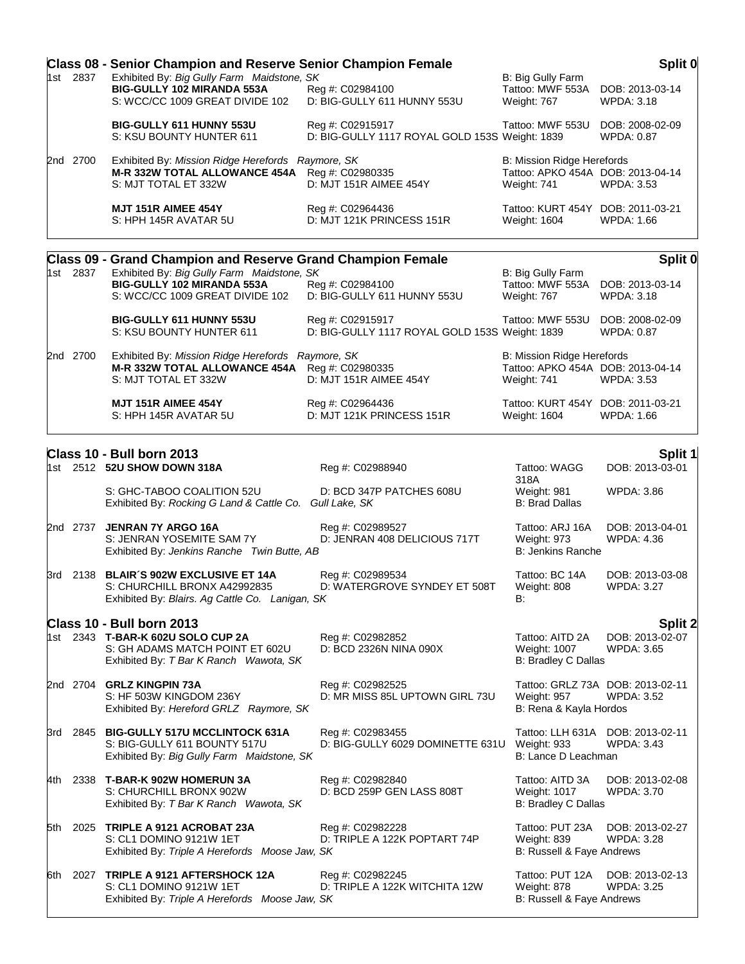|     |          | <b>Class 08 - Senior Champion and Reserve Senior Champion Female</b>                                                                        |                                                                    |                                                                                | Split 0                                               |
|-----|----------|---------------------------------------------------------------------------------------------------------------------------------------------|--------------------------------------------------------------------|--------------------------------------------------------------------------------|-------------------------------------------------------|
|     | 1st 2837 | Exhibited By: Big Gully Farm Maidstone, SK<br>BIG-GULLY 102 MIRANDA 553A<br>S: WCC/CC 1009 GREAT DIVIDE 102                                 | Reg #: C02984100<br>D: BIG-GULLY 611 HUNNY 553U                    | B: Big Gully Farm<br>Tattoo: MWF 553A<br>Weight: 767                           | DOB: 2013-03-14<br><b>WPDA: 3.18</b>                  |
|     |          | <b>BIG-GULLY 611 HUNNY 553U</b><br>S: KSU BOUNTY HUNTER 611                                                                                 | Reg #: C02915917<br>D: BIG-GULLY 1117 ROYAL GOLD 153S Weight: 1839 | Tattoo: MWF 553U                                                               | DOB: 2008-02-09<br>WPDA: 0.87                         |
|     | 2nd 2700 | Exhibited By: Mission Ridge Herefords Raymore, SK<br>M-R 332W TOTAL ALLOWANCE 454A Reg #: C02980335<br>S: MJT TOTAL ET 332W                 | D: MJT 151R AIMEE 454Y                                             | B: Mission Ridge Herefords<br>Tattoo: APKO 454A DOB: 2013-04-14<br>Weight: 741 | <b>WPDA: 3.53</b>                                     |
|     |          | <b>MJT 151R AIMEE 454Y</b><br>S: HPH 145R AVATAR 5U                                                                                         | Reg #: C02964436<br>D: MJT 121K PRINCESS 151R                      | Tattoo: KURT 454Y DOB: 2011-03-21<br>Weight: 1604                              | <b>WPDA: 1.66</b>                                     |
|     |          | <b>Class 09 - Grand Champion and Reserve Grand Champion Female</b>                                                                          |                                                                    |                                                                                | Split 0                                               |
|     | 1st 2837 | Exhibited By: Big Gully Farm Maidstone, SK<br>BIG-GULLY 102 MIRANDA 553A<br>S: WCC/CC 1009 GREAT DIVIDE 102                                 | Reg #: C02984100<br>D: BIG-GULLY 611 HUNNY 553U                    | B: Big Gully Farm<br>Tattoo: MWF 553A<br>Weight: 767                           | DOB: 2013-03-14<br><b>WPDA: 3.18</b>                  |
|     |          | <b>BIG-GULLY 611 HUNNY 553U</b><br>S: KSU BOUNTY HUNTER 611                                                                                 | Reg #: C02915917<br>D: BIG-GULLY 1117 ROYAL GOLD 153S Weight: 1839 | Tattoo: MWF 553U                                                               | DOB: 2008-02-09<br>WPDA: 0.87                         |
|     | 2nd 2700 | Exhibited By: Mission Ridge Herefords Raymore, SK<br>M-R 332W TOTAL ALLOWANCE 454A Reg #: C02980335<br>S: MJT TOTAL ET 332W                 | D: MJT 151R AIMEE 454Y                                             | B: Mission Ridge Herefords<br>Tattoo: APKO 454A DOB: 2013-04-14<br>Weight: 741 | WPDA: 3.53                                            |
|     |          | <b>MJT 151R AIMEE 454Y</b><br>S: HPH 145R AVATAR 5U                                                                                         | Reg #: C02964436<br>D: MJT 121K PRINCESS 151R                      | Tattoo: KURT 454Y DOB: 2011-03-21<br>Weight: 1604                              | WPDA: 1.66                                            |
|     |          | Class 10 - Bull born 2013                                                                                                                   |                                                                    |                                                                                |                                                       |
|     |          | 1st 2512 52U SHOW DOWN 318A                                                                                                                 | Reg #: C02988940                                                   | Tattoo: WAGG                                                                   | Split 1<br>DOB: 2013-03-01                            |
|     |          | S: GHC-TABOO COALITION 52U<br>Exhibited By: Rocking G Land & Cattle Co. Gull Lake, SK                                                       | D: BCD 347P PATCHES 608U                                           | 318A<br>Weight: 981<br><b>B: Brad Dallas</b>                                   | <b>WPDA: 3.86</b>                                     |
|     | 2nd 2737 | JENRAN 7Y ARGO 16A<br>S: JENRAN YOSEMITE SAM 7Y<br>Exhibited By: Jenkins Ranche Twin Butte, AB                                              | Reg #: C02989527<br>D: JENRAN 408 DELICIOUS 717T                   | Tattoo: ARJ 16A<br>Weight: 973<br><b>B: Jenkins Ranche</b>                     | DOB: 2013-04-01<br>WPDA: 4.36                         |
|     |          | 3rd 2138 BLAIR'S 902W EXCLUSIVE ET 14A<br>S: CHURCHILL BRONX A42992835<br>Exhibited By: Blairs. Ag Cattle Co. Lanigan, SK                   | Reg #: C02989534<br>D: WATERGROVE SYNDEY ET 508T                   | Tattoo: BC 14A<br>Weight: 808<br><b>B:</b>                                     | DOB: 2013-03-08<br><b>WPDA: 3.27</b>                  |
|     |          | Class 10 - Bull born 2013<br>1st 2343 T-BAR-K 602U SOLO CUP 2A<br>S: GH ADAMS MATCH POINT ET 602U<br>Exhibited By: T Bar K Ranch Wawota, SK | Reg #: C02982852<br>D: BCD 2326N NINA 090X                         | Tattoo: AITD 2A<br>Weight: 1007<br>B: Bradley C Dallas                         | Split 2<br>DOB: 2013-02-07<br><b>WPDA: 3.65</b>       |
|     |          | 2nd 2704 GRLZ KINGPIN 73A<br>S: HF 503W KINGDOM 236Y<br>Exhibited By: Hereford GRLZ Raymore, SK                                             | Reg #: C02982525<br>D: MR MISS 85L UPTOWN GIRL 73U                 | Weight: 957<br>B: Rena & Kayla Hordos                                          | Tattoo: GRLZ 73A DOB: 2013-02-11<br><b>WPDA: 3.52</b> |
|     |          | 3rd 2845 BIG-GULLY 517U MCCLINTOCK 631A<br>S: BIG-GULLY 611 BOUNTY 517U<br>Exhibited By: Big Gully Farm Maidstone, SK                       | Reg #: C02983455<br>D: BIG-GULLY 6029 DOMINETTE 631U               | Weight: 933<br>B: Lance D Leachman                                             | Tattoo: LLH 631A DOB: 2013-02-11<br><b>WPDA: 3.43</b> |
| 4th |          | 2338 T-BAR-K 902W HOMERUN 3A<br>S: CHURCHILL BRONX 902W<br>Exhibited By: T Bar K Ranch Wawota, SK                                           | Reg #: C02982840<br>D: BCD 259P GEN LASS 808T                      | Tattoo: AITD 3A<br><b>Weight: 1017</b><br>B: Bradley C Dallas                  | DOB: 2013-02-08<br><b>WPDA: 3.70</b>                  |
| 5th | 2025     | TRIPLE A 9121 ACROBAT 23A<br>S: CL1 DOMINO 9121W 1ET<br>Exhibited By: Triple A Herefords Moose Jaw, SK                                      | Reg #: C02982228<br>D: TRIPLE A 122K POPTART 74P                   | Tattoo: PUT 23A<br>Weight: 839<br>B: Russell & Faye Andrews                    | DOB: 2013-02-27<br><b>WPDA: 3.28</b>                  |
| 6th | 2027     | TRIPLE A 9121 AFTERSHOCK 12A<br>S: CL1 DOMINO 9121W 1ET<br>Exhibited By: Triple A Herefords Moose Jaw, SK                                   | Reg #: C02982245<br>D: TRIPLE A 122K WITCHITA 12W                  | Tattoo: PUT 12A<br>Weight: 878<br>B: Russell & Faye Andrews                    | DOB: 2013-02-13<br><b>WPDA: 3.25</b>                  |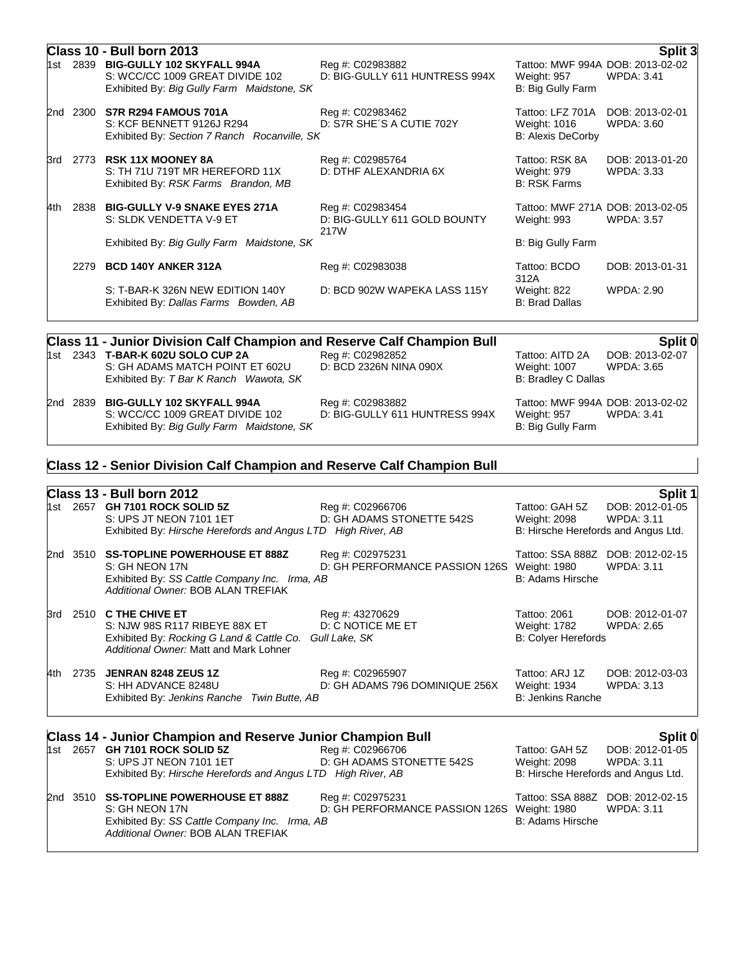|       | Class 10 - Bull born 2013<br>Split 3 |                                                                                                                    |                                                          |                                                                      |                                      |  |
|-------|--------------------------------------|--------------------------------------------------------------------------------------------------------------------|----------------------------------------------------------|----------------------------------------------------------------------|--------------------------------------|--|
| 1st   | 2839                                 | <b>BIG-GULLY 102 SKYFALL 994A</b><br>S: WCC/CC 1009 GREAT DIVIDE 102<br>Exhibited By: Big Gully Farm Maidstone, SK | Reg #: C02983882<br>D: BIG-GULLY 611 HUNTRESS 994X       | Tattoo: MWF 994A DOB: 2013-02-02<br>Weight: 957<br>B: Big Gully Farm | <b>WPDA: 3.41</b>                    |  |
| 2nd   | 2300                                 | S7R R294 FAMOUS 701A<br>S: KCF BENNETT 9126J R294<br>Exhibited By: Section 7 Ranch Rocanville, SK                  | Reg #: C02983462<br>D: S7R SHE'S A CUTIE 702Y            | Tattoo: LFZ 701A<br>Weight: 1016<br><b>B: Alexis DeCorby</b>         | DOB: 2013-02-01<br><b>WPDA: 3.60</b> |  |
| 3rd   | 2773                                 | <b>RSK 11X MOONEY 8A</b><br>S: TH 71U 719T MR HEREFORD 11X<br>Exhibited By: RSK Farms Brandon, MB                  | Reg #: C02985764<br>D: DTHF ALEXANDRIA 6X                | Tattoo: RSK 8A<br>Weight: 979<br><b>B: RSK Farms</b>                 | DOB: 2013-01-20<br>WPDA: 3.33        |  |
| l4th. | 2838                                 | <b>BIG-GULLY V-9 SNAKE EYES 271A</b><br>S: SLDK VENDETTA V-9 ET                                                    | Reg #: C02983454<br>D: BIG-GULLY 611 GOLD BOUNTY<br>217W | Tattoo: MWF 271A DOB: 2013-02-05<br>Weight: 993                      | WPDA: 3.57                           |  |
|       |                                      | Exhibited By: Big Gully Farm Maidstone, SK                                                                         |                                                          | B: Big Gully Farm                                                    |                                      |  |
|       | 2279                                 | <b>BCD 140Y ANKER 312A</b>                                                                                         | Reg #: C02983038                                         | Tattoo: BCDO<br>312A                                                 | DOB: 2013-01-31                      |  |
|       |                                      | S: T-BAR-K 326N NEW EDITION 140Y<br>Exhibited By: Dallas Farms Bowden, AB                                          | D: BCD 902W WAPEKA LASS 115Y                             | Weight: 822<br><b>B: Brad Dallas</b>                                 | WPDA: 2.90                           |  |
|       |                                      |                                                                                                                    |                                                          |                                                                      |                                      |  |

| <b>Class 11 - Junior Division Calf Champion and Reserve Calf Champion Bull</b> |  |                                                                                                                  |                                                    | Split 0                            |                                                |
|--------------------------------------------------------------------------------|--|------------------------------------------------------------------------------------------------------------------|----------------------------------------------------|------------------------------------|------------------------------------------------|
|                                                                                |  | 1st 2343 T-BAR-K 602U SOLO CUP 2A<br>S: GH ADAMS MATCH POINT ET 602U                                             | Reg #: C02982852<br>D: BCD 2326N NINA 090X         | Tattoo: AITD 2A<br>Weight: 1007    | DOB: 2013-02-07<br>WPDA: 3.65                  |
|                                                                                |  | Exhibited By: T Bar K Ranch Wawota, SK<br>2nd 2839 BIG-GULLY 102 SKYFALL 994A<br>S: WCC/CC 1009 GREAT DIVIDE 102 | Reg #: C02983882<br>D: BIG-GULLY 611 HUNTRESS 994X | B: Bradley C Dallas<br>Weight: 957 | Tattoo: MWF 994A DOB: 2013-02-02<br>WPDA: 3.41 |

Exhibited By: *Big Gully Farm Maidstone, SK* B: Big Gully Farm B: Big Gully Farm

## **Class 12 - Senior Division Calf Champion and Reserve Calf Champion Bull**

|     | Class 13 - Bull born 2012<br>Split 1 |                                                                                                                                                 |                                                                 |                                                                       |                                                       |  |
|-----|--------------------------------------|-------------------------------------------------------------------------------------------------------------------------------------------------|-----------------------------------------------------------------|-----------------------------------------------------------------------|-------------------------------------------------------|--|
|     |                                      | 1st 2657 <b>GH 7101 ROCK SOLID 5Z</b><br>S: UPS JT NEON 7101 1ET<br>Exhibited By: Hirsche Herefords and Angus LTD High River, AB                | Reg #: C02966706<br>D: GH ADAMS STONETTE 542S                   | Tattoo: GAH 5Z<br>Weight: 2098<br>B: Hirsche Herefords and Angus Ltd. | DOB: 2012-01-05<br><b>WPDA: 3.11</b>                  |  |
|     |                                      | 2nd 3510 SS-TOPLINE POWERHOUSE ET 888Z<br>S: GH NEON 17N<br>Exhibited By: SS Cattle Company Inc. Irma, AB<br>Additional Owner: BOB ALAN TREFIAK | Reg #: C02975231<br>D: GH PERFORMANCE PASSION 126S              | Weight: 1980<br>B: Adams Hirsche                                      | Tattoo: SSA 888Z DOB: 2012-02-15<br><b>WPDA: 3.11</b> |  |
| 3rd |                                      | 2510 C THE CHIVE ET<br>S: NJW 98S R117 RIBEYE 88X ET<br>Exhibited By: Rocking G Land & Cattle Co.<br>Additional Owner: Matt and Mark Lohner     | Reg #: 43270629<br>D: C NOTICE ME ET<br>Gull Lake, SK           | Tattoo: 2061<br>Weight: 1782<br><b>B: Colyer Herefords</b>            | DOB: 2012-01-07<br><b>WPDA: 2.65</b>                  |  |
| 4th | 2735                                 | <b>JENRAN 8248 ZEUS 1Z</b><br>S: HH ADVANCE 8248U<br>Exhibited By: Jenkins Ranche Twin Butte, AB                                                | Reg #: C02965907<br>D: GH ADAMS 796 DOMINIQUE 256X              | Tattoo: ARJ 1Z<br>Weight: 1934<br><b>B: Jenkins Ranche</b>            | DOB: 2012-03-03<br><b>WPDA: 3.13</b>                  |  |
|     |                                      | <b>Class 14 - Junior Champion and Reserve Junior Champion Bull</b>                                                                              |                                                                 |                                                                       | Split 0                                               |  |
| 1st |                                      | 2657 GH 7101 ROCK SOLID 5Z<br>S: UPS JT NEON 7101 1ET<br>Exhibited By: Hirsche Herefords and Angus LTD High River, AB                           | Reg #: C02966706<br>D: GH ADAMS STONETTE 542S                   | Tattoo: GAH 5Z<br>Weight: 2098<br>B: Hirsche Herefords and Angus Ltd. | DOB: 2012-01-05<br><b>WPDA: 3.11</b>                  |  |
|     | 2nd 3510                             | <b>SS-TOPLINE POWERHOUSE ET 888Z</b><br>S: GH NEON 17N<br>Exhibited By: SS Cattle Company Inc. Irma, AB<br>Additional Owner: BOB ALAN TREFIAK   | Reg #: C02975231<br>D: GH PERFORMANCE PASSION 126S Weight: 1980 | Tattoo: SSA 888Z<br>B: Adams Hirsche                                  | DOB: 2012-02-15<br><b>WPDA: 3.11</b>                  |  |